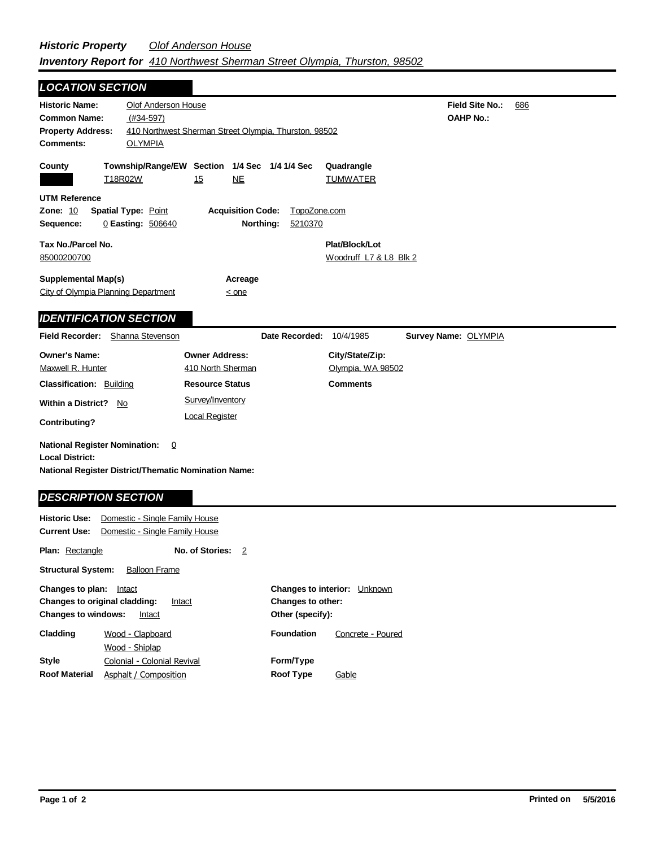| <b>LOCATION SECTION</b>                                                                                                                              |                                                 |                                                           |                                      |                                          |                                            |     |
|------------------------------------------------------------------------------------------------------------------------------------------------------|-------------------------------------------------|-----------------------------------------------------------|--------------------------------------|------------------------------------------|--------------------------------------------|-----|
| <b>Historic Name:</b><br><b>Common Name:</b><br><b>Property Address:</b>                                                                             | Olof Anderson House<br>$(#34-597)$              | 410 Northwest Sherman Street Olympia, Thurston, 98502     |                                      |                                          | <b>Field Site No.:</b><br><b>OAHP No.:</b> | 686 |
| <b>Comments:</b>                                                                                                                                     | <b>OLYMPIA</b>                                  |                                                           |                                      |                                          |                                            |     |
| County                                                                                                                                               | T18R02W                                         | Township/Range/EW Section 1/4 Sec 1/4 1/4 Sec<br>NE<br>15 |                                      | Quadrangle<br><b>TUMWATER</b>            |                                            |     |
| <b>UTM Reference</b><br>Zone: 10<br>Sequence:                                                                                                        | <b>Spatial Type: Point</b><br>0 Easting: 506640 | <b>Acquisition Code:</b>                                  | TopoZone.com<br>Northing:<br>5210370 |                                          |                                            |     |
|                                                                                                                                                      |                                                 |                                                           |                                      |                                          |                                            |     |
| Tax No./Parcel No.<br>85000200700                                                                                                                    |                                                 |                                                           |                                      | Plat/Block/Lot<br>Woodruff L7 & L8 Blk 2 |                                            |     |
| <b>Supplemental Map(s)</b><br>City of Olympia Planning Department                                                                                    |                                                 | Acreage<br>$\leq$ one                                     |                                      |                                          |                                            |     |
| <b>IDENTIFICATION SECTION</b>                                                                                                                        |                                                 |                                                           |                                      |                                          |                                            |     |
| Field Recorder: Shanna Stevenson                                                                                                                     |                                                 |                                                           | Date Recorded: 10/4/1985             |                                          | Survey Name: OLYMPIA                       |     |
| <b>Owner's Name:</b>                                                                                                                                 |                                                 | <b>Owner Address:</b>                                     |                                      | City/State/Zip:                          |                                            |     |
| Maxwell R. Hunter                                                                                                                                    |                                                 | 410 North Sherman                                         |                                      | Olympia, WA 98502                        |                                            |     |
| <b>Classification: Building</b>                                                                                                                      |                                                 | <b>Resource Status</b>                                    |                                      | <b>Comments</b>                          |                                            |     |
| <b>Within a District?</b><br>No                                                                                                                      |                                                 | Survey/Inventory                                          |                                      |                                          |                                            |     |
| Contributing?                                                                                                                                        |                                                 | <b>Local Register</b>                                     |                                      |                                          |                                            |     |
| <b>National Register Nomination:</b><br><b>Local District:</b><br>National Register District/Thematic Nomination Name:<br><b>DESCRIPTION SECTION</b> | $\overline{0}$                                  |                                                           |                                      |                                          |                                            |     |
| Historic Use:                                                                                                                                        | Domestic - Single Family House                  |                                                           |                                      |                                          |                                            |     |
|                                                                                                                                                      |                                                 |                                                           |                                      |                                          |                                            |     |

| <b>Current Use:</b>                                                                                                  | Domestic - Single Family House                       |                 |    |                                                                                        |                   |  |
|----------------------------------------------------------------------------------------------------------------------|------------------------------------------------------|-----------------|----|----------------------------------------------------------------------------------------|-------------------|--|
| <b>Plan:</b> Rectangle                                                                                               |                                                      | No. of Stories: | -2 |                                                                                        |                   |  |
| <b>Structural System:</b>                                                                                            | <b>Balloon Frame</b>                                 |                 |    |                                                                                        |                   |  |
| Changes to plan:<br>Intact<br><b>Changes to original cladding:</b><br>Intact<br><b>Changes to windows:</b><br>Intact |                                                      |                 |    | <b>Changes to interior:</b><br>Unknown<br><b>Changes to other:</b><br>Other (specify): |                   |  |
| Cladding                                                                                                             | Wood - Clapboard<br>Wood - Shiplap                   |                 |    | <b>Foundation</b>                                                                      | Concrete - Poured |  |
| <b>Style</b><br><b>Roof Material</b>                                                                                 | Colonial - Colonial Revival<br>Asphalt / Composition |                 |    | Form/Type<br><b>Roof Type</b>                                                          | Gable             |  |